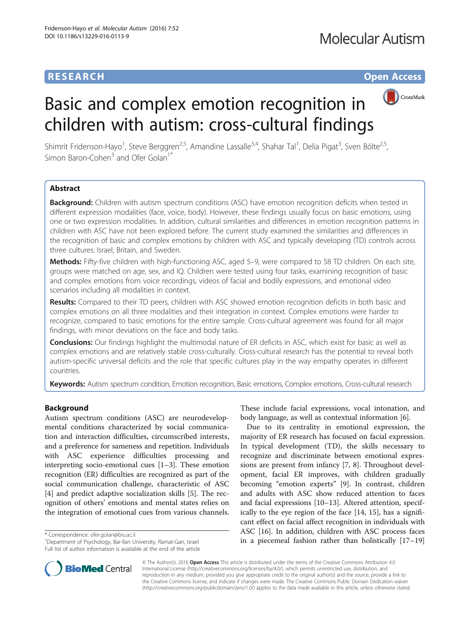# **RESEARCH RESEARCH** *CHECKER CHECKER CHECKER CHECKER CHECKER CHECKER CHECKER CHECKER CHECKER CHECKER CHECKER*



# Basic and complex emotion recognition in children with autism: cross-cultural findings

Shimrit Fridenson-Hayo<sup>1</sup>, Steve Berggren<sup>2,5</sup>, Amandine Lassalle<sup>3,4</sup>, Shahar Tal<sup>1</sup>, Delia Pigat<sup>3</sup>, Sven Bölte<sup>2,5</sup>, Simon Baron-Cohen<sup>3</sup> and Ofer Golan<sup>1</sup>

# Abstract

Background: Children with autism spectrum conditions (ASC) have emotion recognition deficits when tested in different expression modalities (face, voice, body). However, these findings usually focus on basic emotions, using one or two expression modalities. In addition, cultural similarities and differences in emotion recognition patterns in children with ASC have not been explored before. The current study examined the similarities and differences in the recognition of basic and complex emotions by children with ASC and typically developing (TD) controls across three cultures: Israel, Britain, and Sweden.

Methods: Fifty-five children with high-functioning ASC, aged 5-9, were compared to 58 TD children. On each site, groups were matched on age, sex, and IQ. Children were tested using four tasks, examining recognition of basic and complex emotions from voice recordings, videos of facial and bodily expressions, and emotional video scenarios including all modalities in context.

Results: Compared to their TD peers, children with ASC showed emotion recognition deficits in both basic and complex emotions on all three modalities and their integration in context. Complex emotions were harder to recognize, compared to basic emotions for the entire sample. Cross-cultural agreement was found for all major findings, with minor deviations on the face and body tasks.

**Conclusions:** Our findings highlight the multimodal nature of ER deficits in ASC, which exist for basic as well as complex emotions and are relatively stable cross-culturally. Cross-cultural research has the potential to reveal both autism-specific universal deficits and the role that specific cultures play in the way empathy operates in different countries.

Keywords: Autism spectrum condition, Emotion recognition, Basic emotions, Complex emotions, Cross-cultural research

# Background

Autism spectrum conditions (ASC) are neurodevelopmental conditions characterized by social communication and interaction difficulties, circumscribed interests, and a preference for sameness and repetition. Individuals with ASC experience difficulties processing and interpreting socio-emotional cues [\[1](#page-8-0)–[3](#page-8-0)]. These emotion recognition (ER) difficulties are recognized as part of the social communication challenge, characteristic of ASC [[4\]](#page-8-0) and predict adaptive socialization skills [[5\]](#page-8-0). The recognition of others' emotions and mental states relies on the integration of emotional cues from various channels.

<sup>1</sup> Department of Psychology, Bar-Ilan University, Ramat-Gan, Israel Full list of author information is available at the end of the article



Due to its centrality in emotional expression, the majority of ER research has focused on facial expression. In typical development (TD), the skills necessary to recognize and discriminate between emotional expressions are present from infancy [\[7, 8](#page-8-0)]. Throughout development, facial ER improves, with children gradually becoming "emotion experts" [[9](#page-8-0)]. In contrast, children and adults with ASC show reduced attention to faces and facial expressions [\[10](#page-8-0)–[13\]](#page-9-0). Altered attention, specifically to the eye region of the face [\[14](#page-9-0), [15](#page-9-0)], has a significant effect on facial affect recognition in individuals with ASC [[16](#page-9-0)]. In addition, children with ASC process faces correspondence: ofer.golan@biu.ac.il<br>in a piecemeal fashion rather than holistically [[17](#page-9-0)–[19](#page-9-0)] <sup>1</sup>Department of Psychology, Bar-llan University, Ramat-Gan, Israel **1998 in a piecemeal fashion rather than holistically** [17–



© The Author(s). 2016 Open Access This article is distributed under the terms of the Creative Commons Attribution 4.0 International License [\(http://creativecommons.org/licenses/by/4.0/](http://creativecommons.org/licenses/by/4.0/)), which permits unrestricted use, distribution, and reproduction in any medium, provided you give appropriate credit to the original author(s) and the source, provide a link to the Creative Commons license, and indicate if changes were made. The Creative Commons Public Domain Dedication waiver [\(http://creativecommons.org/publicdomain/zero/1.0/](http://creativecommons.org/publicdomain/zero/1.0/)) applies to the data made available in this article, unless otherwise stated.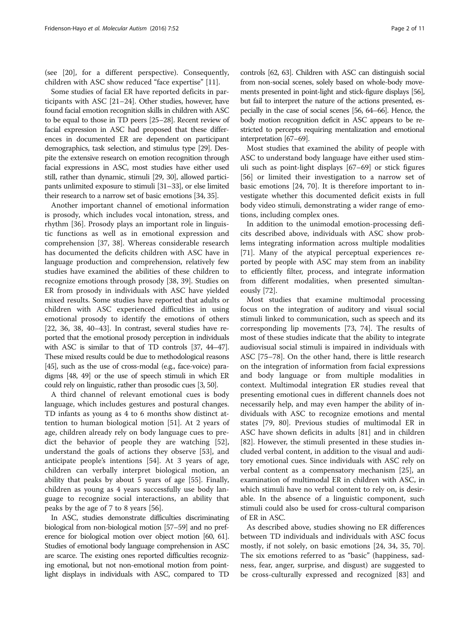(see [\[20](#page-9-0)], for a different perspective). Consequently, children with ASC show reduced "face expertise" [[11\]](#page-8-0).

Some studies of facial ER have reported deficits in participants with ASC [[21](#page-9-0)–[24](#page-9-0)]. Other studies, however, have found facial emotion recognition skills in children with ASC to be equal to those in TD peers [\[25](#page-9-0)–[28\]](#page-9-0). Recent review of facial expression in ASC had proposed that these differences in documented ER are dependent on participant demographics, task selection, and stimulus type [\[29\]](#page-9-0). Despite the extensive research on emotion recognition through facial expressions in ASC, most studies have either used still, rather than dynamic, stimuli [\[29, 30\]](#page-9-0), allowed participants unlimited exposure to stimuli [\[31](#page-9-0)–[33\]](#page-9-0), or else limited their research to a narrow set of basic emotions [[34](#page-9-0), [35](#page-9-0)].

Another important channel of emotional information is prosody, which includes vocal intonation, stress, and rhythm [\[36](#page-9-0)]. Prosody plays an important role in linguistic functions as well as in emotional expression and comprehension [[37, 38](#page-9-0)]. Whereas considerable research has documented the deficits children with ASC have in language production and comprehension, relatively few studies have examined the abilities of these children to recognize emotions through prosody [\[38, 39](#page-9-0)]. Studies on ER from prosody in individuals with ASC have yielded mixed results. Some studies have reported that adults or children with ASC experienced difficulties in using emotional prosody to identify the emotions of others [[22, 36](#page-9-0), [38](#page-9-0), [40](#page-9-0)–[43\]](#page-9-0). In contrast, several studies have reported that the emotional prosody perception in individuals with ASC is similar to that of TD controls [\[37](#page-9-0), [44](#page-9-0)–[47\]](#page-9-0). These mixed results could be due to methodological reasons [[45\]](#page-9-0), such as the use of cross-modal (e.g., face-voice) paradigms [\[48, 49](#page-9-0)] or the use of speech stimuli in which ER could rely on linguistic, rather than prosodic cues [\[3,](#page-8-0) [50\]](#page-9-0).

A third channel of relevant emotional cues is body language, which includes gestures and postural changes. TD infants as young as 4 to 6 months show distinct attention to human biological motion [\[51](#page-9-0)]. At 2 years of age, children already rely on body language cues to predict the behavior of people they are watching [\[52](#page-9-0)], understand the goals of actions they observe [[53\]](#page-9-0), and anticipate people's intentions [[54\]](#page-9-0). At 3 years of age, children can verbally interpret biological motion, an ability that peaks by about 5 years of age [[55\]](#page-9-0). Finally, children as young as 4 years successfully use body language to recognize social interactions, an ability that peaks by the age of 7 to 8 years [[56\]](#page-9-0).

In ASC, studies demonstrate difficulties discriminating biological from non-biological motion [[57](#page-9-0)–[59](#page-9-0)] and no preference for biological motion over object motion [\[60, 61\]](#page-9-0). Studies of emotional body language comprehension in ASC are scarce. The existing ones reported difficulties recognizing emotional, but not non-emotional motion from pointlight displays in individuals with ASC, compared to TD

controls [\[62,](#page-9-0) [63\]](#page-10-0). Children with ASC can distinguish social from non-social scenes, solely based on whole-body movements presented in point-light and stick-figure displays [\[56\]](#page-9-0), but fail to interpret the nature of the actions presented, especially in the case of social scenes [\[56](#page-9-0), [64](#page-10-0)–[66\]](#page-10-0). Hence, the body motion recognition deficit in ASC appears to be restricted to percepts requiring mentalization and emotional interpretation [\[67](#page-10-0)–[69](#page-10-0)].

Most studies that examined the ability of people with ASC to understand body language have either used stimuli such as point-light displays [[67](#page-10-0)–[69\]](#page-10-0) or stick figures [[56\]](#page-9-0) or limited their investigation to a narrow set of basic emotions [[24,](#page-9-0) [70](#page-10-0)]. It is therefore important to investigate whether this documented deficit exists in full body video stimuli, demonstrating a wider range of emotions, including complex ones.

In addition to the unimodal emotion-processing deficits described above, individuals with ASC show problems integrating information across multiple modalities [[71\]](#page-10-0). Many of the atypical perceptual experiences reported by people with ASC may stem from an inability to efficiently filter, process, and integrate information from different modalities, when presented simultaneously [\[72](#page-10-0)].

Most studies that examine multimodal processing focus on the integration of auditory and visual social stimuli linked to communication, such as speech and its corresponding lip movements [[73, 74\]](#page-10-0). The results of most of these studies indicate that the ability to integrate audiovisual social stimuli is impaired in individuals with ASC [[75](#page-10-0)–[78\]](#page-10-0). On the other hand, there is little research on the integration of information from facial expressions and body language or from multiple modalities in context. Multimodal integration ER studies reveal that presenting emotional cues in different channels does not necessarily help, and may even hamper the ability of individuals with ASC to recognize emotions and mental states [[79, 80](#page-10-0)]. Previous studies of multimodal ER in ASC have shown deficits in adults [\[81\]](#page-10-0) and in children [[82\]](#page-10-0). However, the stimuli presented in these studies included verbal content, in addition to the visual and auditory emotional cues. Since individuals with ASC rely on verbal content as a compensatory mechanism [[25\]](#page-9-0), an examination of multimodal ER in children with ASC, in which stimuli have no verbal content to rely on, is desirable. In the absence of a linguistic component, such stimuli could also be used for cross-cultural comparison of ER in ASC.

As described above, studies showing no ER differences between TD individuals and individuals with ASC focus mostly, if not solely, on basic emotions [\[24](#page-9-0), [34, 35,](#page-9-0) [70](#page-10-0)]. The six emotions referred to as "basic" (happiness, sadness, fear, anger, surprise, and disgust) are suggested to be cross-culturally expressed and recognized [\[83](#page-10-0)] and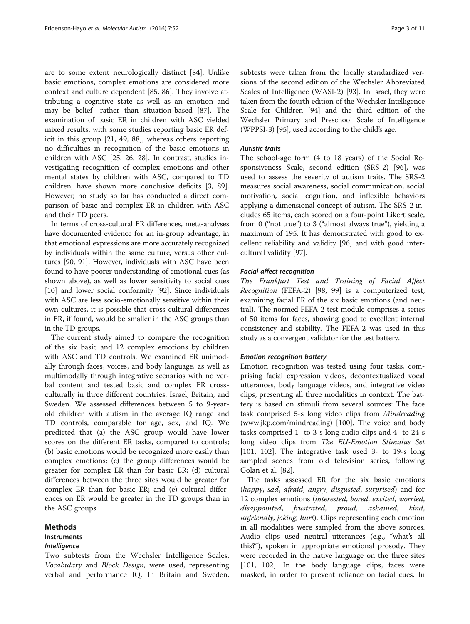are to some extent neurologically distinct [[84](#page-10-0)]. Unlike basic emotions, complex emotions are considered more context and culture dependent [[85, 86\]](#page-10-0). They involve attributing a cognitive state as well as an emotion and may be belief- rather than situation-based [\[87\]](#page-10-0). The examination of basic ER in children with ASC yielded mixed results, with some studies reporting basic ER deficit in this group [\[21](#page-9-0), [49,](#page-9-0) [88\]](#page-10-0), whereas others reporting no difficulties in recognition of the basic emotions in children with ASC [[25](#page-9-0), [26](#page-9-0), [28\]](#page-9-0). In contrast, studies investigating recognition of complex emotions and other mental states by children with ASC, compared to TD children, have shown more conclusive deficits [\[3](#page-8-0), [89](#page-10-0)]. However, no study so far has conducted a direct comparison of basic and complex ER in children with ASC and their TD peers.

In terms of cross-cultural ER differences, meta-analyses have documented evidence for an in-group advantage, in that emotional expressions are more accurately recognized by individuals within the same culture, versus other cultures [[90](#page-10-0), [91\]](#page-10-0). However, individuals with ASC have been found to have poorer understanding of emotional cues (as shown above), as well as lower sensitivity to social cues [[10](#page-8-0)] and lower social conformity [\[92\]](#page-10-0). Since individuals with ASC are less socio-emotionally sensitive within their own cultures, it is possible that cross-cultural differences in ER, if found, would be smaller in the ASC groups than in the TD groups.

The current study aimed to compare the recognition of the six basic and 12 complex emotions by children with ASC and TD controls. We examined ER unimodally through faces, voices, and body language, as well as multimodally through integrative scenarios with no verbal content and tested basic and complex ER crossculturally in three different countries: Israel, Britain, and Sweden. We assessed differences between 5 to 9-yearold children with autism in the average IQ range and TD controls, comparable for age, sex, and IQ. We predicted that (a) the ASC group would have lower scores on the different ER tasks, compared to controls; (b) basic emotions would be recognized more easily than complex emotions; (c) the group differences would be greater for complex ER than for basic ER; (d) cultural differences between the three sites would be greater for complex ER than for basic ER; and (e) cultural differences on ER would be greater in the TD groups than in the ASC groups.

#### Methods

# Instruments

Intelligence Two subtests from the Wechsler Intelligence Scales, Vocabulary and Block Design, were used, representing verbal and performance IQ. In Britain and Sweden, subtests were taken from the locally standardized versions of the second edition of the Wechsler Abbreviated Scales of Intelligence (WASI-2) [\[93\]](#page-10-0). In Israel, they were taken from the fourth edition of the Wechsler Intelligence Scale for Children [\[94\]](#page-10-0) and the third edition of the Wechsler Primary and Preschool Scale of Intelligence (WPPSI-3) [[95](#page-10-0)], used according to the child's age.

### **Autistic traits**

The school-age form (4 to 18 years) of the Social Responsiveness Scale, second edition (SRS-2) [\[96\]](#page-10-0), was used to assess the severity of autism traits. The SRS-2 measures social awareness, social communication, social motivation, social cognition, and inflexible behaviors applying a dimensional concept of autism. The SRS-2 includes 65 items, each scored on a four-point Likert scale, from 0 ("not true") to 3 ("almost always true"), yielding a maximum of 195. It has demonstrated with good to excellent reliability and validity [[96](#page-10-0)] and with good intercultural validity [[97](#page-10-0)].

The Frankfurt Test and Training of Facial Affect Recognition (FEFA-2) [[98](#page-10-0), [99\]](#page-10-0) is a computerized test, examining facial ER of the six basic emotions (and neutral). The normed FEFA-2 test module comprises a series of 50 items for faces, showing good to excellent internal consistency and stability. The FEFA-2 was used in this study as a convergent validator for the test battery.

Emotion recognition was tested using four tasks, comprising facial expression videos, decontextualized vocal utterances, body language videos, and integrative video clips, presenting all three modalities in context. The battery is based on stimuli from several sources: The face task comprised 5-s long video clips from Mindreading ([www.jkp.com/mindreading](http://www.jkp.com/mindreading)) [\[100\]](#page-10-0). The voice and body tasks comprised 1- to 3-s long audio clips and 4- to 24-s long video clips from The EU-Emotion Stimulus Set [[101, 102\]](#page-10-0). The integrative task used 3- to 19-s long sampled scenes from old television series, following Golan et al. [\[82\]](#page-10-0).

The tasks assessed ER for the six basic emotions (happy, sad, afraid, angry, disgusted, surprised) and for 12 complex emotions (interested, bored, excited, worried, disappointed, frustrated, proud, ashamed, kind, unfriendly, joking, hurt). Clips representing each emotion in all modalities were sampled from the above sources. Audio clips used neutral utterances (e.g., "what's all this?"), spoken in appropriate emotional prosody. They were recorded in the native language on the three sites [[101, 102\]](#page-10-0). In the body language clips, faces were masked, in order to prevent reliance on facial cues. In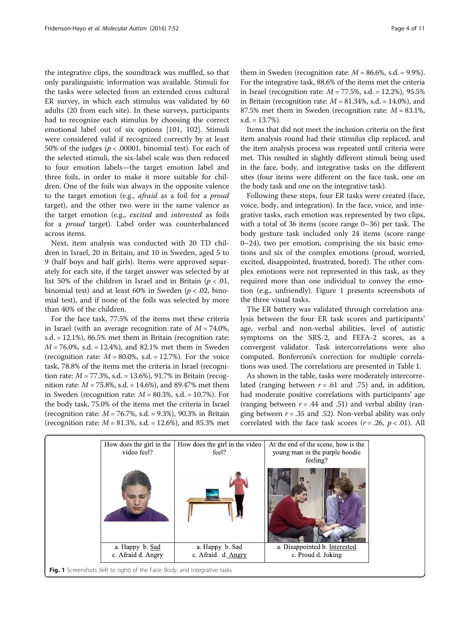the integrative clips, the soundtrack was muffled, so that only paralinguistic information was available. Stimuli for the tasks were selected from an extended cross cultural ER survey, in which each stimulus was validated by 60 adults (20 from each site). In these surveys, participants had to recognize each stimulus by choosing the correct emotional label out of six options [[101, 102\]](#page-10-0). Stimuli were considered valid if recognized correctly by at least 50% of the judges ( $p < .00001$ , binomial test). For each of the selected stimuli, the six-label scale was then reduced to four emotion labels—the target emotion label and three foils, in order to make it more suitable for children. One of the foils was always in the opposite valence to the target emotion (e.g., afraid as a foil for a proud target), and the other two were in the same valence as the target emotion (e.g., excited and interested as foils for a proud target). Label order was counterbalanced across items.

Next, item analysis was conducted with 20 TD children in Israel, 20 in Britain, and 10 in Sweden, aged 5 to 9 (half boys and half girls). Items were approved separately for each site, if the target answer was selected by at list 50% of the children in Israel and in Britain ( $p < .01$ , binomial test) and at least 60% in Sweden ( $p < .02$ , binomial test), and if none of the foils was selected by more than 40% of the children.

For the face task, 77.5% of the items met these criteria in Israel (with an average recognition rate of  $M = 74.0\%$ , s.d. = 12.1%), 86.5% met them in Britain (recognition rate:  $M = 76.0\%$ , s.d. = 12.4%), and 82.1% met them in Sweden (recognition rate:  $M = 80.0\%$ , s.d. = 12.7%). For the voice task, 78.8% of the items met the criteria in Israel (recognition rate:  $M = 77.3\%$ , s.d. = 13.6%), 91.7% in Britain (recognition rate:  $M = 75.8\%$ , s.d. = 14.6%), and 89.47% met them in Sweden (recognition rate:  $M = 80.3\%$ , s.d. = 10.7%). For the body task, 75.0% of the items met the criteria in Israel (recognition rate:  $M = 76.7\%$ , s.d. = 9.3%), 90.3% in Britain (recognition rate:  $M = 81.3\%$ , s.d. = 12.6%), and 85.3% met

them in Sweden (recognition rate:  $M = 86.6\%$ , s.d. = 9.9%). For the integrative task, 88.6% of the items met the criteria in Israel (recognition rate:  $M = 77.5\%$ , s.d. = 12.2%), 95.5% in Britain (recognition rate:  $M = 81.34\%$ , s.d. = 14.0%), and 87.5% met them in Sweden (recognition rate:  $M = 83.1\%$ ,  $s.d. = 13.7\%$ ).

Items that did not meet the inclusion criteria on the first item analysis round had their stimulus clip replaced, and the item analysis process was repeated until criteria were met. This resulted in slightly different stimuli being used in the face, body, and integrative tasks on the different sites (four items were different on the face task, one on the body task and one on the integrative task).

Following these steps, four ER tasks were created (face, voice, body, and integration). In the face, voice, and integrative tasks, each emotion was represented by two clips, with a total of 36 items (score range 0–36) per task. The body gesture task included only 24 items (score range 0–24), two per emotion, comprising the six basic emotions and six of the complex emotions (proud, worried, excited, disappointed, frustrated, bored). The other complex emotions were not represented in this task, as they required more than one individual to convey the emotion (e.g., unfriendly). Figure 1 presents screenshots of the three visual tasks.

The ER battery was validated through correlation analysis between the four ER task scores and participants' age, verbal and non-verbal abilities, level of autistic symptoms on the SRS-2, and FEFA-2 scores, as a convergent validator. Task intercorrelations were also computed. Bonferroni's correction for multiple correlations was used. The correlations are presented in Table [1.](#page-4-0)

As shown in the table, tasks were moderately intercorrelated (ranging between  $r = .61$  and .75) and, in addition, had moderate positive correlations with participants' age (ranging between  $r = .44$  and .51) and verbal ability (ranging between  $r = .35$  and .52). Non-verbal ability was only correlated with the face task scores ( $r = .26$ ,  $p < .01$ ). All

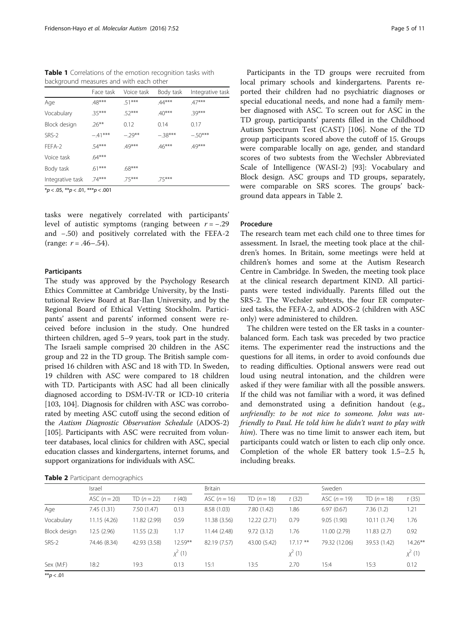<span id="page-4-0"></span>Table 1 Correlations of the emotion recognition tasks with background measures and with each other

|                  | Face task | Voice task | Body task | Integrative task |
|------------------|-----------|------------|-----------|------------------|
| Age              | $.48***$  | $.51***$   | $.44***$  | $.47***$         |
| Vocabulary       | $.35***$  | $.52***$   | $.40***$  | $.39***$         |
| Block design     | $.26***$  | 0.12       | 0.14      | 0.17             |
| SRS-2            | $-.41***$ | $-29**$    | $-.38***$ | $-.50***$        |
| FFFA-2           | $.54***$  | $.49***$   | $.46***$  | $.49***$         |
| Voice task       | $.64***$  |            |           |                  |
| Body task        | $.61***$  | $.68***$   |           |                  |
| Integrative task | $.74***$  | 75***      | $75***$   |                  |

 $*p < .05, **p < .01, **p < .001$ 

tasks were negatively correlated with participants' level of autistic symptoms (ranging between  $r = -0.29$ and −.50) and positively correlated with the FEFA-2 (range:  $r = .46 - .54$ ).

### Participants

The study was approved by the Psychology Research Ethics Committee at Cambridge University, by the Institutional Review Board at Bar-Ilan University, and by the Regional Board of Ethical Vetting Stockholm. Participants' assent and parents' informed consent were received before inclusion in the study. One hundred thirteen children, aged 5–9 years, took part in the study. The Israeli sample comprised 20 children in the ASC group and 22 in the TD group. The British sample comprised 16 children with ASC and 18 with TD. In Sweden, 19 children with ASC were compared to 18 children with TD. Participants with ASC had all been clinically diagnosed according to DSM-IV-TR or ICD-10 criteria [[103, 104\]](#page-10-0). Diagnosis for children with ASC was corroborated by meeting ASC cutoff using the second edition of the Autism Diagnostic Observation Schedule (ADOS-2) [[105](#page-10-0)]. Participants with ASC were recruited from volunteer databases, local clinics for children with ASC, special education classes and kindergartens, internet forums, and support organizations for individuals with ASC.

Participants in the TD groups were recruited from local primary schools and kindergartens. Parents reported their children had no psychiatric diagnoses or special educational needs, and none had a family member diagnosed with ASC. To screen out for ASC in the TD group, participants' parents filled in the Childhood Autism Spectrum Test (CAST) [[106](#page-10-0)]. None of the TD group participants scored above the cutoff of 15. Groups were comparable locally on age, gender, and standard scores of two subtests from the Wechsler Abbreviated Scale of Intelligence (WASI-2) [[93](#page-10-0)]: Vocabulary and Block design. ASC groups and TD groups, separately, were comparable on SRS scores. The groups' background data appears in Table 2.

# Procedure

The research team met each child one to three times for assessment. In Israel, the meeting took place at the children's homes. In Britain, some meetings were held at children's homes and some at the Autism Research Centre in Cambridge. In Sweden, the meeting took place at the clinical research department KIND. All participants were tested individually. Parents filled out the SRS-2. The Wechsler subtests, the four ER computerized tasks, the FEFA-2, and ADOS-2 (children with ASC only) were administered to children.

The children were tested on the ER tasks in a counterbalanced form. Each task was preceded by two practice items. The experimenter read the instructions and the questions for all items, in order to avoid confounds due to reading difficulties. Optional answers were read out loud using neutral intonation, and the children were asked if they were familiar with all the possible answers. If the child was not familiar with a word, it was defined and demonstrated using a definition handout (e.g., unfriendly: to be not nice to someone. John was unfriendly to Paul. He told him he didn't want to play with him). There was no time limit to answer each item, but participants could watch or listen to each clip only once. Completion of the whole ER battery took 1.5–2.5 h, including breaks.

Table 2 Participant demographics

|              | Israel         |               |             | <b>Britain</b> |               |             | Sweden         |               |              |
|--------------|----------------|---------------|-------------|----------------|---------------|-------------|----------------|---------------|--------------|
|              | ASC $(n = 20)$ | TD $(n = 22)$ | t(40)       | ASC $(n = 16)$ | TD $(n = 18)$ | t(32)       | ASC $(n = 19)$ | TD $(n = 18)$ | t(35)        |
| Age          | 7.45(1.31)     | 7.50 (1.47)   | 0.13        | 8.58 (1.03)    | 7.80 (1.42)   | .86         | 6.97(0.67)     | 7.36(1.2)     | 1.21         |
| Vocabulary   | 11.15 (4.26)   | 11.82 (2.99)  | 0.59        | 11.38 (3.56)   | 12.22 (2.71)  | 0.79        | 9.05(1.90)     | 10.11(1.74)   | 1.76         |
| Block design | 12.5(2.96)     | 11.55(2.3)    | 1.17        | 11.44 (2.48)   | 9.72(3.12)    | 1.76        | 11.00 (2.79)   | 11.83(2.7)    | 0.92         |
| SRS-2        | 74.46 (8.34)   | 42.93 (3.58)  | $12.59***$  | 82.19 (7.57)   | 43.00 (5.42)  | $17.17**$   | 79.32 (12.06)  | 39.53 (1.42)  | $14.26***$   |
|              |                |               | $\chi^2(1)$ |                |               | $x^{2}$ (1) |                |               | $\chi^2$ (1) |
| Sex (M:F)    | 18:2           | 19:3          | 0.13        | 15:1           | 13:5          | 2.70        | 15:4           | 15:3          | 0.12         |

 $* p < .01$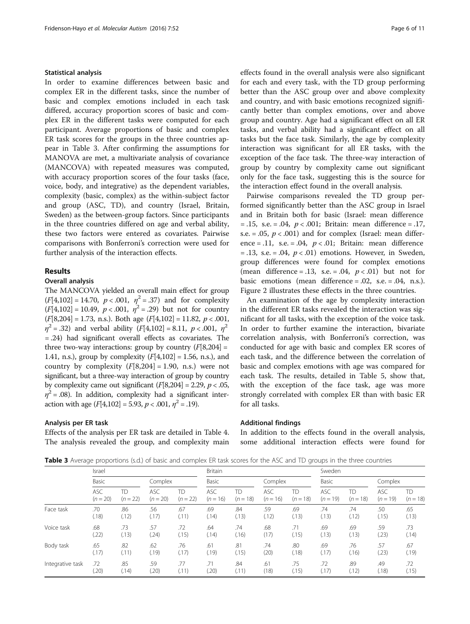# Statistical analysis

In order to examine differences between basic and complex ER in the different tasks, since the number of basic and complex emotions included in each task differed, accuracy proportion scores of basic and complex ER in the different tasks were computed for each participant. Average proportions of basic and complex ER task scores for the groups in the three countries appear in Table 3. After confirming the assumptions for MANOVA are met, a multivariate analysis of covariance (MANCOVA) with repeated measures was computed, with accuracy proportion scores of the four tasks (face, voice, body, and integrative) as the dependent variables, complexity (basic, complex) as the within-subject factor and group (ASC, TD), and country (Israel, Britain, Sweden) as the between-group factors. Since participants in the three countries differed on age and verbal ability, these two factors were entered as covariates. Pairwise comparisons with Bonferroni's correction were used for further analysis of the interaction effects.

# Results

### Overall analysis

The MANCOVA yielded an overall main effect for group  $(F[4,102] = 14.70, p < .001, \eta^2 = .37)$  and for complexity  $(F[4,102] = 10.49, p < .001, \eta^2 = .29)$  but not for country  $(F[8,204] = 1.73, n.s.).$  Both age  $(F[4,102] = 11.82, p < .001,$  $\eta^2$  = .32) and verbal ability (F[4,102] = 8.11, p < .001,  $\eta^2$ = .24) had significant overall effects as covariates. The three two-way interactions: group by country  $(F[8,204] =$ 1.41, n.s.), group by complexity  $(F[4,102] = 1.56, n.s.),$  and country by complexity  $(F[8,204] = 1.90, n.s.)$  were not significant, but a three-way interaction of group by country by complexity came out significant  $(F[8,204] = 2.29, p < .05,$  $\eta^2$  = .08). In addition, complexity had a significant interaction with age  $(F[4,102] = 5.93, p < .001, \eta^2 = .19)$ .

### Analysis per ER task

Effects of the analysis per ER task are detailed in Table [4](#page-6-0). The analysis revealed the group, and complexity main

effects found in the overall analysis were also significant for each and every task, with the TD group performing better than the ASC group over and above complexity and country, and with basic emotions recognized significantly better than complex emotions, over and above group and country. Age had a significant effect on all ER tasks, and verbal ability had a significant effect on all tasks but the face task. Similarly, the age by complexity interaction was significant for all ER tasks, with the exception of the face task. The three-way interaction of group by country by complexity came out significant only for the face task, suggesting this is the source for the interaction effect found in the overall analysis.

Pairwise comparisons revealed the TD group performed significantly better than the ASC group in Israel and in Britain both for basic (Israel: mean difference  $= .15, \text{ s.e.} = .04, p < .001; \text{ Britain: mean difference} = .17,$ s.e. = .05,  $p < .001$ ) and for complex (Israel: mean difference = .11, s.e. = .04,  $p < .01$ ; Britain: mean difference  $= .13$ , s.e.  $= .04$ ,  $p < .01$ ) emotions. However, in Sweden, group differences were found for complex emotions (mean difference = .13, s.e. = .04,  $p < .01$ ) but not for basic emotions (mean difference  $= .02$ , s.e.  $= .04$ , n.s.). Figure [2](#page-6-0) illustrates these effects in the three countries.

An examination of the age by complexity interaction in the different ER tasks revealed the interaction was significant for all tasks, with the exception of the voice task. In order to further examine the interaction, bivariate correlation analysis, with Bonferroni's correction, was conducted for age with basic and complex ER scores of each task, and the difference between the correlation of basic and complex emotions with age was compared for each task. The results, detailed in Table [5,](#page-7-0) show that, with the exception of the face task, age was more strongly correlated with complex ER than with basic ER for all tasks.

# Additional findings

In addition to the effects found in the overall analysis, some additional interaction effects were found for

Table 3 Average proportions (s.d.) of basic and complex ER task scores for the ASC and TD groups in the three countries

|                  | Israel     |            |            | Britain    |            |            | Sweden     |            |            |            |            |            |
|------------------|------------|------------|------------|------------|------------|------------|------------|------------|------------|------------|------------|------------|
|                  | Basic      |            | Complex    |            | Basic      |            | Complex    |            | Basic      |            | Complex    |            |
|                  | ASC        | <b>TD</b>  | ASC        | <b>TD</b>  | ASC        | TD         | <b>ASC</b> | TD         | ASC        | TD         | <b>ASC</b> | TD         |
|                  | $(n = 20)$ | $(n = 22)$ | $(n = 20)$ | $(n = 22)$ | $(n = 16)$ | $(n = 18)$ | $(n = 16)$ | $(n = 18)$ | $(n = 19)$ | $(n = 18)$ | $(n = 19)$ | $(n = 18)$ |
| Face task        | .70        | .86        | .56        | .67        | .69        | .84        | .59        | .69        | .74        | .74        | .50        | .65        |
|                  | (.18)      | (.12)      | (.17)      | (.11)      | (.14)      | (.13)      | (.12)      | (.13)      | (.13)      | (.12)      | (.15)      | (.13)      |
| Voice task       | .68        | .73        | .57        | .72        | .64        | .74        | .68        | .71        | .69        | .69        | .59        | .73        |
|                  | (.22)      | (.13)      | (.24)      | (.15)      | (.14)      | (.16)      | (17)       | (.15)      | (.13)      | (.13)      | (.23)      | (.14)      |
| Body task        | .65        | .82        | .62        | .76        | .61        | .81        | .74        | .80        | .69        | .76        | .57        | .67        |
|                  | (.17)      | (.11)      | (.19)      | (.17)      | (.19)      | (.15)      | (20)       | (.18)      | (.17)      | (.16)      | (.23)      | (.19)      |
| Integrative task | .72        | .85        | .59        | .77        | .71        | .84        | .61        | .75        | .72        | .89        | .49        | .72        |
|                  | (20)       | (.14)      | (.20)      | (.11)      | (.20)      | (.11)      | (18)       | (.15)      | (.17)      | (.12)      | (.18)      | (.15)      |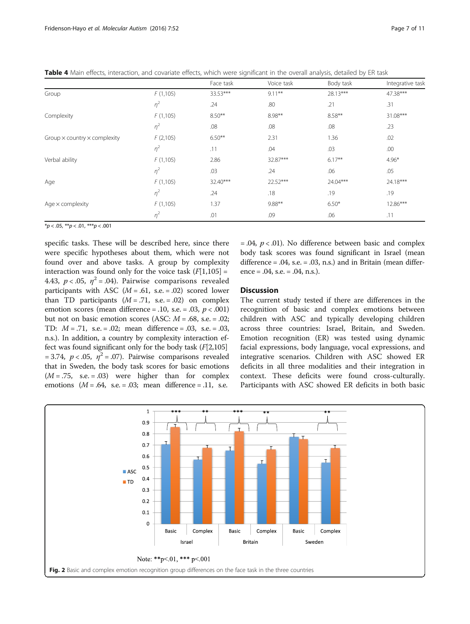|                                            |          | Face task | Voice task | Body task | Integrative task |
|--------------------------------------------|----------|-----------|------------|-----------|------------------|
| Group                                      | F(1,105) | 33.53***  | $9.11***$  | 28.13***  | 47.38***         |
|                                            | $\eta^2$ | .24       | .80        | .21       | .31              |
| Complexity                                 | F(1,105) | $8.50***$ | 8.98**     | $8.58**$  | 31.08***         |
|                                            | $\eta^2$ | .08       | .08        | .08       | .23              |
| Group $\times$ country $\times$ complexity | F(2,105) | $6.50**$  | 2.31       | 1.36      | .02              |
|                                            | $\eta^2$ | .11       | .04        | .03       | .00              |
| Verbal ability                             | F(1,105) | 2.86      | 32.87***   | $6.17***$ | $4.96*$          |
|                                            | $\eta^2$ | .03       | .24        | .06       | .05              |
| Age                                        | F(1,105) | 32.40***  | 22.52***   | 24.04***  | 24.18***         |
|                                            | $\eta^2$ | .24       | .18        | .19       | .19              |
| Age $\times$ complexity                    | F(1,105) | 1.37      | $9.88**$   | $6.50*$   | 12.86***         |
|                                            | $\eta^2$ | .01       | .09        | .06       | .11              |

<span id="page-6-0"></span>Table 4 Main effects, interaction, and covariate effects, which were significant in the overall analysis, detailed by ER task

 $*p < .05, **p < .01, **p < .001$ 

specific tasks. These will be described here, since there were specific hypotheses about them, which were not found over and above tasks. A group by complexity interaction was found only for the voice task  $(F[1,105] =$ 4.43,  $p < .05$ ,  $\eta^2 = .04$ ). Pairwise comparisons revealed participants with ASC  $(M = .61, s.e. = .02)$  scored lower than TD participants  $(M = .71, s.e. = .02)$  on complex emotion scores (mean difference = .10, s.e. = .03,  $p < .001$ ) but not on basic emotion scores (ASC:  $M = .68$ , s.e. = .02; TD:  $M = .71$ , s.e. = .02; mean difference = .03, s.e. = .03, n.s.). In addition, a country by complexity interaction effect was found significant only for the body task  $(F[2,105])$ = 3.74,  $p < .05$ ,  $\eta^2 = .07$ ). Pairwise comparisons revealed that in Sweden, the body task scores for basic emotions  $(M = .75, \text{ s.e.} = .03)$  were higher than for complex emotions  $(M = .64, s.e. = .03;$  mean difference = .11, s.e.

 $= .04$ ,  $p < .01$ ). No difference between basic and complex body task scores was found significant in Israel (mean difference =  $.04$ , s.e. =  $.03$ , n.s.) and in Britain (mean difference =  $.04$ , s.e. =  $.04$ , n.s.).

# **Discussion**

The current study tested if there are differences in the recognition of basic and complex emotions between children with ASC and typically developing children across three countries: Israel, Britain, and Sweden. Emotion recognition (ER) was tested using dynamic facial expressions, body language, vocal expressions, and integrative scenarios. Children with ASC showed ER deficits in all three modalities and their integration in context. These deficits were found cross-culturally. Participants with ASC showed ER deficits in both basic

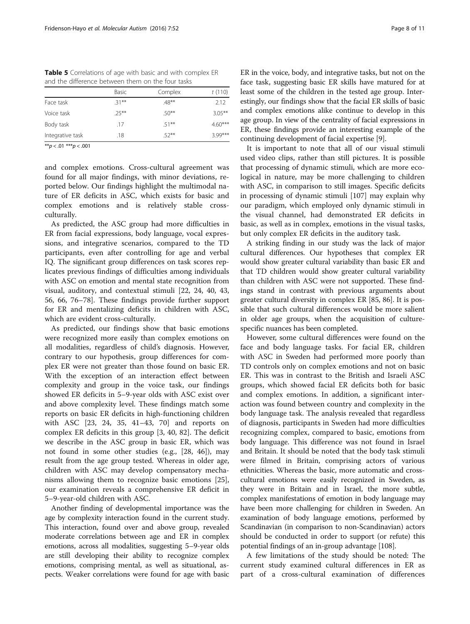<span id="page-7-0"></span>Table 5 Correlations of age with basic and with complex ER and the difference between them on the four tasks Basic Complex  $t$  (110)

| <b>MAG</b><br>----<br>--- |          |          |           |
|---------------------------|----------|----------|-----------|
| Integrative task          | .18      | $.52***$ | $3.99***$ |
| Body task                 | .17      | $.51***$ | $4.60***$ |
| Voice task                | $.25***$ | $.50**$  | $3.05***$ |
| Face task                 | $.31***$ | $.48***$ | 2.12      |
|                           | Basic    | Complex  | t(110)    |

\*\* $p < .01$ \*\*\* $p < .001$ 

and complex emotions. Cross-cultural agreement was found for all major findings, with minor deviations, reported below. Our findings highlight the multimodal nature of ER deficits in ASC, which exists for basic and complex emotions and is relatively stable crossculturally.

As predicted, the ASC group had more difficulties in ER from facial expressions, body language, vocal expressions, and integrative scenarios, compared to the TD participants, even after controlling for age and verbal IQ. The significant group differences on task scores replicates previous findings of difficulties among individuals with ASC on emotion and mental state recognition from visual, auditory, and contextual stimuli [\[22](#page-9-0), [24, 40, 43](#page-9-0), [56,](#page-9-0) [66, 76](#page-10-0)–[78](#page-10-0)]. These findings provide further support for ER and mentalizing deficits in children with ASC, which are evident cross-culturally.

As predicted, our findings show that basic emotions were recognized more easily than complex emotions on all modalities, regardless of child's diagnosis. However, contrary to our hypothesis, group differences for complex ER were not greater than those found on basic ER. With the exception of an interaction effect between complexity and group in the voice task, our findings showed ER deficits in 5–9-year olds with ASC exist over and above complexity level. These findings match some reports on basic ER deficits in high-functioning children with ASC [\[23](#page-9-0), [24](#page-9-0), [35](#page-9-0), [41](#page-9-0)–[43,](#page-9-0) [70\]](#page-10-0) and reports on complex ER deficits in this group [[3,](#page-8-0) [40](#page-9-0), [82](#page-10-0)]. The deficit we describe in the ASC group in basic ER, which was not found in some other studies (e.g., [[28, 46\]](#page-9-0)), may result from the age group tested. Whereas in older age, children with ASC may develop compensatory mechanisms allowing them to recognize basic emotions [\[25](#page-9-0)], our examination reveals a comprehensive ER deficit in 5–9-year-old children with ASC.

Another finding of developmental importance was the age by complexity interaction found in the current study. This interaction, found over and above group, revealed moderate correlations between age and ER in complex emotions, across all modalities, suggesting 5–9-year olds are still developing their ability to recognize complex emotions, comprising mental, as well as situational, aspects. Weaker correlations were found for age with basic ER in the voice, body, and integrative tasks, but not on the face task, suggesting basic ER skills have matured for at least some of the children in the tested age group. Interestingly, our findings show that the facial ER skills of basic and complex emotions alike continue to develop in this age group. In view of the centrality of facial expressions in ER, these findings provide an interesting example of the continuing development of facial expertise [[9\]](#page-8-0).

It is important to note that all of our visual stimuli used video clips, rather than still pictures. It is possible that processing of dynamic stimuli, which are more ecological in nature, may be more challenging to children with ASC, in comparison to still images. Specific deficits in processing of dynamic stimuli [\[107\]](#page-10-0) may explain why our paradigm, which employed only dynamic stimuli in the visual channel, had demonstrated ER deficits in basic, as well as in complex, emotions in the visual tasks, but only complex ER deficits in the auditory task.

A striking finding in our study was the lack of major cultural differences. Our hypotheses that complex ER would show greater cultural variability than basic ER and that TD children would show greater cultural variability than children with ASC were not supported. These findings stand in contrast with previous arguments about greater cultural diversity in complex ER [\[85](#page-10-0), [86\]](#page-10-0). It is possible that such cultural differences would be more salient in older age groups, when the acquisition of culturespecific nuances has been completed.

However, some cultural differences were found on the face and body language tasks. For facial ER, children with ASC in Sweden had performed more poorly than TD controls only on complex emotions and not on basic ER. This was in contrast to the British and Israeli ASC groups, which showed facial ER deficits both for basic and complex emotions. In addition, a significant interaction was found between country and complexity in the body language task. The analysis revealed that regardless of diagnosis, participants in Sweden had more difficulties recognizing complex, compared to basic, emotions from body language. This difference was not found in Israel and Britain. It should be noted that the body task stimuli were filmed in Britain, comprising actors of various ethnicities. Whereas the basic, more automatic and crosscultural emotions were easily recognized in Sweden, as they were in Britain and in Israel, the more subtle, complex manifestations of emotion in body language may have been more challenging for children in Sweden. An examination of body language emotions, performed by Scandinavian (in comparison to non-Scandinavian) actors should be conducted in order to support (or refute) this potential findings of an in-group advantage [[108](#page-10-0)].

A few limitations of the study should be noted: The current study examined cultural differences in ER as part of a cross-cultural examination of differences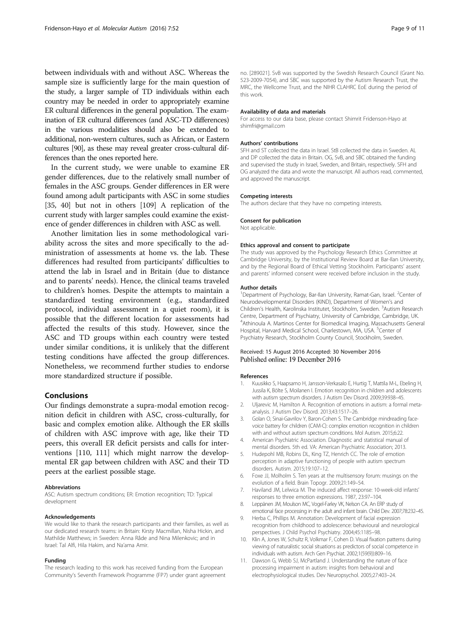<span id="page-8-0"></span>between individuals with and without ASC. Whereas the sample size is sufficiently large for the main question of the study, a larger sample of TD individuals within each country may be needed in order to appropriately examine ER cultural differences in the general population. The examination of ER cultural differences (and ASC-TD differences) in the various modalities should also be extended to additional, non-western cultures, such as African, or Eastern cultures [[90\]](#page-10-0), as these may reveal greater cross-cultural differences than the ones reported here.

In the current study, we were unable to examine ER gender differences, due to the relatively small number of females in the ASC groups. Gender differences in ER were found among adult participants with ASC in some studies [[35](#page-9-0), [40\]](#page-9-0) but not in others [[109](#page-10-0)] A replication of the current study with larger samples could examine the existence of gender differences in children with ASC as well.

Another limitation lies in some methodological variability across the sites and more specifically to the administration of assessments at home vs. the lab. These differences had resulted from participants' difficulties to attend the lab in Israel and in Britain (due to distance and to parents' needs). Hence, the clinical teams traveled to children's homes. Despite the attempts to maintain a standardized testing environment (e.g., standardized protocol, individual assessment in a quiet room), it is possible that the different location for assessments had affected the results of this study. However, since the ASC and TD groups within each country were tested under similar conditions, it is unlikely that the different testing conditions have affected the group differences. Nonetheless, we recommend further studies to endorse more standardized structure if possible.

# Conclusions

Our findings demonstrate a supra-modal emotion recognition deficit in children with ASC, cross-culturally, for basic and complex emotion alike. Although the ER skills of children with ASC improve with age, like their TD peers, this overall ER deficit persists and calls for interventions [\[110](#page-10-0), [111](#page-10-0)] which might narrow the developmental ER gap between children with ASC and their TD peers at the earliest possible stage.

#### Abbreviations

ASC: Autism spectrum conditions; ER: Emotion recognition; TD: Typical development

#### Acknowledgements

We would like to thank the research participants and their families, as well as our dedicated research teams: in Britain: Kirsty Macmillan, Nisha Hickin, and Mathilde Matthews; in Sweden: Anna Råde and Nina Milenkovic; and in Israel: Tal Alfi, Hila Hakim, and Na'ama Amir.

#### Funding

The research leading to this work has received funding from the European Community's Seventh Framework Programme (FP7) under grant agreement no. [289021]. SvB was supported by the Swedish Research Council (Grant No. 523-2009-7054), and SBC was supported by the Autism Research Trust, the MRC, the Wellcome Trust, and the NIHR CLAHRC EoE during the period of this work.

#### Availability of data and materials

For access to our data base, please contact Shimrit Fridenson-Hayo at shimfri@gmail.com

#### Authors' contributions

SFH and ST collected the data in Israel. StB collected the data in Sweden. AL and DP collected the data in Britain. OG, SvB, and SBC obtained the funding and supervised the study in Israel, Sweden, and Britain, respectively. SFH and OG analyzed the data and wrote the manuscript. All authors read, commented, and approved the manuscript.

#### Competing interests

The authors declare that they have no competing interests.

#### Consent for publication

Not applicable.

#### Ethics approval and consent to participate

The study was approved by the Psychology Research Ethics Committee at Cambridge University, by the Institutional Review Board at Bar-Ilan University, and by the Regional Board of Ethical Vetting Stockholm. Participants' assent and parents' informed consent were received before inclusion in the study.

#### Author details

<sup>1</sup>Department of Psychology, Bar-Ilan University, Ramat-Gan, Israel. <sup>2</sup>Center of Neurodevelopmental Disorders (KIND), Department of Women's and Children's Health, Karolinska Institutet, Stockholm, Sweden. <sup>3</sup>Autism Research Centre, Department of Psychiatry, University of Cambridge, Cambridge, UK. 4 Athinoula A. Martinos Center for Biomedical Imaging, Massachusetts General Hospital, Harvard Medical School, Charlestown, MA, USA. <sup>5</sup>Center of Psychiatry Research, Stockholm County Council, Stockholm, Sweden.

### Received: 15 August 2016 Accepted: 30 November 2016 Published online: 19 December 2016

#### References

- 1. Kuusikko S, Haapsamo H, Jansson-Verkasalo E, Hurtig T, Mattila M-L, Ebeling H, Jussila K, Bölte S, Moilanen I. Emotion recognition in children and adolescents with autism spectrum disorders. J Autism Dev Disord. 2009;39:938–45.
- 2. Uljarevic M, Hamilton A. Recognition of emotions in autism: a formal metaanalysis. J Autism Dev Disord. 2013;43:1517–26.
- 3. Golan O, Sinai-Gavrilov Y, Baron-Cohen S. The Cambridge mindreading facevoice battery for children (CAM-C): complex emotion recognition in children with and without autism spectrum conditions. Mol Autism. 2015;6:22.
- 4. American Psychiatric Association. Diagnostic and statistical manual of mental disorders. 5th ed. VA: American Psychiatric Association; 2013.
- 5. Hudepohl MB, Robins DL, King TZ, Henrich CC. The role of emotion perception in adaptive functioning of people with autism spectrum disorders. Autism. 2015;19:107–12.
- 6. Foxe JJ, Molholm S. Ten years at the multisensory forum: musings on the evolution of a field. Brain Topogr. 2009;21:149–54.
- 7. Haviland JM, Lelwica M. The induced affect response: 10-week-old infants' responses to three emotion expressions. 1987, 23:97–104.
- 8. Leppänen JM, Moulson MC, Vogel-Farley VK, Nelson CA. An ERP study of emotional face processing in the adult and infant brain. Child Dev. 2007;78:232–45.
- 9. Herba C, Phillips M. Annotation: Development of facial expression recognition from childhood to adolescence: behavioural and neurological perspectives. J Child Psychol Psychiatry. 2004;45:1185–98.
- 10. Klin A, Jones W, Schultz R, Volkmar F, Cohen D. Visual fixation patterns during viewing of naturalistic social situations as predictors of social competence in individuals with autism. Arch Gen Psychiat. 2002;1(59(9)):809–16.
- 11. Dawson G, Webb SJ, McPartland J. Understanding the nature of face processing impairment in autism: insights from behavioral and electrophysiological studies. Dev Neuropsychol. 2005;27:403–24.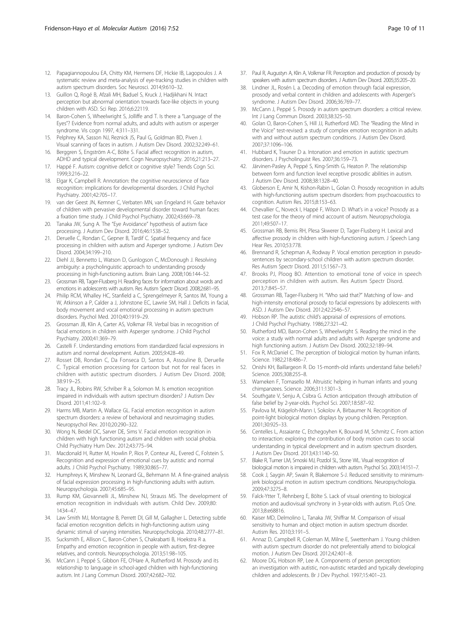- <span id="page-9-0"></span>12. Papagiannopoulou EA, Chitty KM, Hermens DF, Hickie IB, Lagopoulos J. A systematic review and meta-analysis of eye-tracking studies in children with autism spectrum disorders. Soc Neurosci. 2014;9:610–32.
- 13. Guillon Q, Rogé B, Afzali MH, Baduel S, Kruck J, Hadjikhani N. Intact perception but abnormal orientation towards face-like objects in young children with ASD. Sci Rep. 2016;6:22119.
- 14. Baron-Cohen S, Wheelwright S, Jolliffe and T. Is there a "Language of the Eyes"? Evidence from normal adults, and adults with autism or asperger syndrome. Vis cogn 1997, 4:311–331.
- 15. Pelphrey KA, Sasson NJ, Reznick JS, Paul G, Goldman BD, Piven J. Visual scanning of faces in autism. J Autism Dev Disord. 2002;32:249–61.
- 16. Berggren S, Engström A-C, Bölte S. Facial affect recognition in autism, ADHD and typical development. Cogn Neuropsychiatry. 2016;21:213–27.
- 17. Happé F. Autism: cognitive deficit or cognitive style? Trends Cogn Sci. 1999;3:216–22.
- 18. Elgar K, Campbell R. Annotation: the cognitive neuroscience of face recognition: implications for developmental disorders. J Child Psychol Psychiatry. 2001;42:705–17.
- 19. van der Geest JN, Kemner C, Verbaten MN, van Engeland H. Gaze behavior of children with pervasive developmental disorder toward human faces: a fixation time study. J Child Psychol Psychiatry. 2002;43:669–78.
- 20. Tanaka JW, Sung A. The "Eye Avoidance" hypothesis of autism face processing. J Autism Dev Disord. 2016;46:1538–52.
- 21. Deruelle C, Rondan C, Gepner B, Tardif C. Spatial frequency and face processing in children with autism and Asperger syndrome. J Autism Dev Disord. 2004;34:199–210.
- 22. Diehl JJ, Bennetto L, Watson D, Gunlogson C, McDonough J. Resolving ambiguity: a psycholinguistic approach to understanding prosody processing in high-functioning autism. Brain Lang. 2008;106:144–52.
- 23. Grossman RB, Tager-Flusberg H. Reading faces for information about words and emotions in adolescents with autism. Res Autism Spectr Disord. 2008;2:681–95.
- 24. Philip RCM, Whalley HC, Stanfield a C, Sprengelmeyer R, Santos IM, Young a W, Atkinson a P, Calder a J, Johnstone EC, Lawrie SM, Hall J. Deficits in facial, body movement and vocal emotional processing in autism spectrum disorders. Psychol Med. 2010;40:1919–29.
- 25. Grossman JB, Klin A, Carter AS, Volkmar FR. Verbal bias in recognition of facial emotions in children with Asperger syndrome. J Child Psychol Psychiatry. 2000;41:369–79.
- 26. Castelli F. Understanding emotions from standardized facial expressions in autism and normal development. Autism. 2005;9:428–49.
- 27. Rosset DB, Rondan C, Da Fonseca D, Santos A, Assouline B, Deruelle C. Typical emotion processing for cartoon but not for real faces in children with autistic spectrum disorders. J Autism Dev Disord. 2008; 38:919–25.
- 28. Tracy JL, Robins RW, Schriber R a, Solomon M. Is emotion recognition impaired in individuals with autism spectrum disorders? J Autism Dev Disord. 2011;41:102–9.
- 29. Harms MB, Martin A, Wallace GL. Facial emotion recognition in autism spectrum disorders: a review of behavioral and neuroimaging studies. Neuropsychol Rev. 2010;20:290–322.
- 30. Wong N, Beidel DC, Sarver DE, Sims V. Facial emotion recognition in children with high functioning autism and children with social phobia. Child Psychiatry Hum Dev. 2012;43:775–94.
- 31. Macdonald H, Rutter M, Howlin P, Rios P, Conteur AL, Evered C, Folstein S. Recognition and expression of emotional cues by autistic and normal adults. J Child Psychol Psychiatry. 1989;30:865–77.
- 32. Humphreys K, Minshew N, Leonard GL, Behrmann M. A fine-grained analysis of facial expression processing in high-functioning adults with autism. Neuropsychologia. 2007;45:685–95.
- 33. Rump KM, Giovannelli JL, Minshew NJ, Strauss MS. The development of emotion recognition in individuals with autism. Child Dev. 2009;80: 1434–47.
- 34. Law Smith MJ, Montagne B, Perrett DI, Gill M, Gallagher L. Detecting subtle facial emotion recognition deficits in high-functioning autism using dynamic stimuli of varying intensities. Neuropsychologia. 2010;48:2777–81.
- 35. Sucksmith E, Allison C, Baron-Cohen S, Chakrabarti B, Hoekstra R a. Empathy and emotion recognition in people with autism, first-degree relatives, and controls. Neuropsychologia. 2013;51:98–105.
- 36. McCann J, Peppé S, Gibbon FE, O'Hare A, Rutherford M. Prosody and its relationship to language in school-aged children with high-functioning autism. Int J Lang Commun Disord. 2007;42:682–702.
- 37. Paul R, Augustyn A, Klin A, Volkmar FR. Perception and production of prosody by speakers with autism spectrum disorders. J Autism Dev Disord. 2005;35:205–20.
- 38. Lindner JL, Rosén L a. Decoding of emotion through facial expression, prosody and verbal content in children and adolescents with Asperger's syndrome. J Autism Dev Disord. 2006;36:769–77.
- 39. McCann J, Peppé S. Prosody in autism spectrum disorders: a critical review. Int J Lang Commun Disord. 2003;38:325-50.
- 40. Golan O, Baron-Cohen S, Hill JJ, Rutherford MD. The "Reading the Mind in the Voice" test-revised: a study of complex emotion recognition in adults with and without autism spectrum conditions. J Autism Dev Disord. 2007;37:1096–106.
- 41. Hubbard K, Trauner D a. Intonation and emotion in autistic spectrum disorders. J Psycholinguist Res. 2007;36:159–73.
- 42. Järvinen-Pasley A, Peppé S, King-Smith G, Heaton P. The relationship between form and function level receptive prosodic abilities in autism. J Autism Dev Disord. 2008;38:1328–40.
- 43. Globerson E, Amir N, Kishon-Rabin L, Golan O. Prosody recognition in adults with high-functioning autism spectrum disorders: from psychoacoustics to cognition. Autism Res. 2015;8:153–63.
- 44. Chevallier C, Noveck I, Happé F, Wilson D. What's in a voice? Prosody as a test case for the theory of mind account of autism. Neuropsychologia. 2011;49:507–17.
- 45. Grossman RB, Bemis RH, Plesa Skwerer D, Tager-Flusberg H. Lexical and affective prosody in children with high-functioning autism. J Speech Lang Hear Res. 2010;53:778.
- 46. Brennand R, Schepman A, Rodway P. Vocal emotion perception in pseudosentences by secondary-school children with autism spectrum disorder. Res Autism Spectr Disord. 2011;5:1567–73.
- 47. Brooks PJ, Ploog BO. Attention to emotional tone of voice in speech perception in children with autism. Res Autism Spectr Disord. 2013;7:845–57.
- 48. Grossman RB, Tager-Flusberg H. "Who said that?" Matching of low- and high-intensity emotional prosody to facial expressions by adolescents with ASD. J Autism Dev Disord. 2012;42:2546–57.
- 49. Hobson RP. The autistic child's appraisal of expressions of emotions. J Child Psychol Psychiatry. 1986;27:321–42.
- 50. Rutherford MD, Baron-Cohen S, Wheelwright S. Reading the mind in the voice: a study with normal adults and adults with Asperger syndrome and high functioning autism. J Autism Dev Disord. 2002;32:189–94.
- 51. Fox R, McDaniel C. The perception of biological motion by human infants. Science. 1982;218:486–7.
- 52. Onishi KH, Baillargeon R. Do 15-month-old infants understand false beliefs? Science. 2005;308:255–8.
- 53. Warneken F, Tomasello M. Altruistic helping in human infants and young chimpanzees. Science. 2006;311:1301–3.
- 54. Southgate V, Senju A, Csibra G. Action anticipation through attribution of false belief by 2-year-olds. Psychol Sci. 2007;18:587–92.
- 55. Pavlova M, Krägeloh-Mann I, Sokolov A, Birbaumer N. Recognition of point-light biological motion displays by young children. Perception. 2001;30:925–33.
- 56. Centelles L, Assaiante C, Etchegoyhen K, Bouvard M, Schmitz C. From action to interaction: exploring the contribution of body motion cues to social understanding in typical development and in autism spectrum disorders. J Autism Dev Disord. 2013;43:1140–50.
- 57. Blake R, Turner LM, Smoski MJ, Pozdol SL, Stone WL. Visual recognition of biological motion is impaired in children with autism. Psychol Sci. 2003;14:151–7.
- 58. Cook J, Saygin AP, Swain R, Blakemore S-J. Reduced sensitivity to minimumjerk biological motion in autism spectrum conditions. Neuropsychologia. 2009;47:3275–8.
- 59. Falck-Ytter T, Rehnberg E, Bölte S. Lack of visual orienting to biological motion and audiovisual synchrony in 3-year-olds with autism. PLoS One. 2013;8:e68816.
- 60. Kaiser MD, Delmolino L, Tanaka JW, Shiffrar M. Comparison of visual sensitivity to human and object motion in autism spectrum disorder. Autism Res. 2010;3:191–5.
- 61. Annaz D, Campbell R, Coleman M, Milne E, Swettenham J. Young children with autism spectrum disorder do not preferentially attend to biological motion. J Autism Dev Disord. 2012;42:401–8.
- 62. Moore DG, Hobson RP, Lee A. Components of person perception: an investigation with autistic, non-autistic retarded and typically developing children and adolescents. Br J Dev Psychol. 1997;15:401–23.